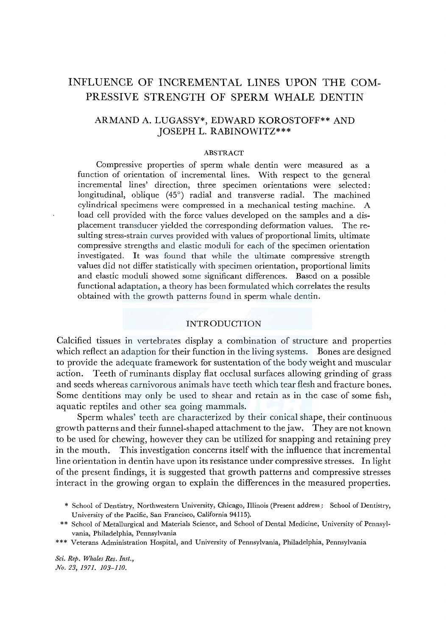# INFLUENCE OF INCREMENTAL LINES UPON THE COM-PRESSIVE STRENGTH OF SPERM WHALE DENTIN

# ARMAND A. LUGASSY\*, EDWARD KOROSTOFF\*\* AND JOSEPH L. RABINOWITZ\*\*\*

## ABSTRACT

Compressive properties of sperm whale dentin were measured as a function of orientation of incremental lines. With respect to the general incremental lines' direction, three specimen orientations were selected: longitudinal, oblique (45°) radial and transverse radial. The machined cylindrical specimens were compressed in a mechanical testing machine. A load cell provided with the force values developed on the samples and a displacement transducer yielded the corresponding deformation values. The resulting stress-strain curves provided with values of proportional limits, ultimate compressive strengths and elastic moduli for each of the specimen orientation investigated. It was found that while the ultimate compressive strength values did not differ statistically with specimen orientation, proportional limits and elastic moduli showed some significant differences. Based on a possible functional adaptation, a theory has been formulated which correlates the results obtained with the growth patterns found in sperm whale dentin.

# INTRODUCTION

Calcified tissues in vertebrates display a combination of structure and properties which reflect an adaption for their function in the living systems. Bones are designed to provide the adequate framework for sustentation of the body weight and muscular action. Teeth of ruminants display flat occlusal surfaces allowing grinding of grass and seeds whereas carnivorous animals have teeth which tear flesh and fracture bones. Some dentitions may only be used to shear and retain as in the case of some fish, aquatic reptiles and other sea going mammals.

Sperm whales' teeth are characterized by their conical shape, their continuous growth patterns and their funnel-shaped attachment to the jaw, They are not known to be used for chewing, however they can be utilized for snapping and retaining prey in the mouth. This investigation concerns itself with the influence that incremental line orientation in dentin have upon its resistance under compressive stresses. In light of the present findings, it is suggested that growth patterns and compressive stresses interact in the growing organ to explain the differences in the measured properties.

- \* School of Dentistry, Northwestern University, Chicago, Illinois (Present address.: School of Dentistry, University of the Pacific, San Francisco, California 94115).
- \*\* School of Metallurgical and Materials Science, and School of Dental Medicine, University of Pennsylvania, Philadelphia, Pennsylvania
- \*\*\* Veterans Administration Hospital, and University of Pennsylvania, Philadelphia, Pennsylvania

*Sci. Rep. Whales Res. Inst., No. 23, 1971. 103-110.*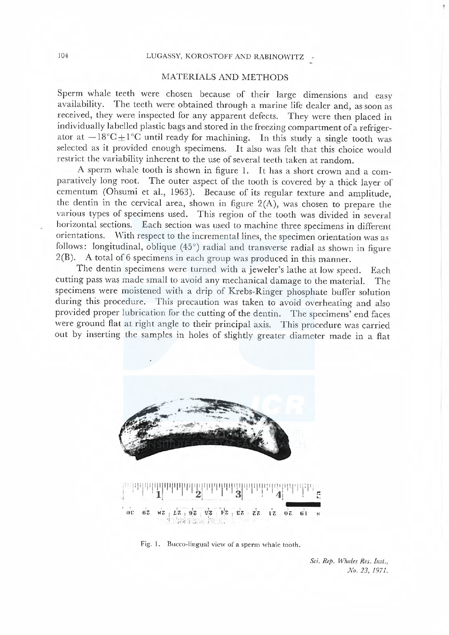# 104 LUGASSY, KOROSTOFF AND RABINOWITZ

# MATERIALS AND METHODS

Sperm whale teeth were chosen because of their large dimensions and easy availability. The teeth were obtained through a marine life dealer and as soon as The teeth were obtained through a marine life dealer and, as soon as received, they were inspected for any apparent defects. They were then placed in individually labelled plastic bags and stored in the freezing compartment of a refrigerator at  $-18^{\circ}\text{C} \pm 1^{\circ}\text{C}$  until ready for machining. In this study a single tooth was selected as it provided enough specimens. It also was felt that this choice would restrict the variability inherent to the use of several teeth taken at random.

A sperm whale tooth is shown in figure l. It has a short crown and a comparatively long root. The outer aspect of the tooth is covered by a thick layer of cementum (Ohsumi et al., 1963). Because of its regular texture and amplitude, the dentin in the cervical area, shown in figure  $2(A)$ , was chosen to prepare the various types of specimens used. This region of the tooth was divided in several horizontal sections. Each section was used to machine three specimens in different orientations. With respect to the incremental lines, the specimen orientation was as follows: longitudinal, oblique  $(45^{\circ})$  radial and transverse radial as shown in figure 2(B). A total of 6 specimens in each group was produced in this manner.

The dentin specimens were turned with a jeweler's lathe at low speed. Each cutting pass was made small to avoid any mechanical damage to the material. The specimens were moistened with a drip of Krebs-Ringer phosphate buffer solution during this procedure. This precaution was taken to avoid overheating and also provided proper lubrication for the cutting of the dentin. The specimens' end faces were ground flat at right angle to their principal axis. This procedure was earried out by inserting the samples in holes of slightly greater diameter made in a flat



Fig. I. Bucco-lingual view of a sperm whale tooth.

Sci. Rep. Whales Res. Inst., No. 23, 1971.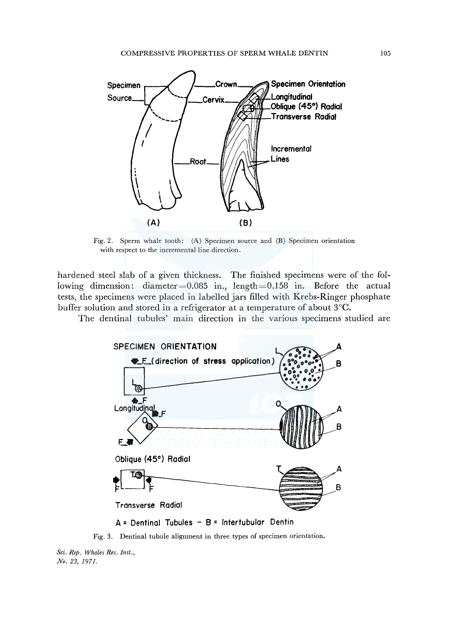

Fig. 2. Sperm whale tooth: (A) Specimen source and (B) Specimen orientation with respect to the incremental line direction.

hardened steel slab of a given thickness. The finished specimens were of the following dimension: diameter=0.085 in., length=0.158 in. Before the actual tests, the specimens were placed in labelled jars filled with Krebs-Ringer phosphate buffer solution and stored in a refrigerator at a temperature of about 3°C.

The dentinal tubules' main direction in the various specimens studied are



**A= Dentinal Tubules - B = lntertubular Dentin** 

Fig. 3. Dentinal tubule alignment in three types of specimen orientation.

*Sci. Rep. Whales Res. Inst., No. 23, 1971.*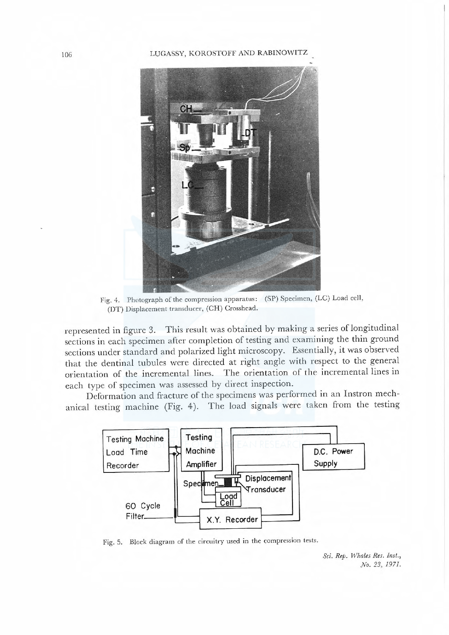#### 106 LUGASSY, KOROSTOFF AND RABINOWITZ



Fig. 4. Photograph of the compression apparatus: (SP) Specimen, (LC) Load cell. (DT) Displacement transducer, (CH) Crosshcad.

represented in figure 3. This result was obtained by making a series of longitudinal sections in eaeh speeimen after completion of testing and examining the thin ground sections under standard and polarized light microscopy. Essentially, it was observed that the dentinal tubules were directed at right angle with respect to the general orientation of the incremental lines. The orientation of the incremental lines in each type of specimen was assessed by direct inspection.

Deformation and fraeture of the specimens was performed in an Instron meehanical testing machine (Fig. 4). The load signals were taken from the testing



Fig. 5. Block diagram of the circuitry used in the compression tests.

Sci. Rep. Whales Res. Inst., No. 23, 1971.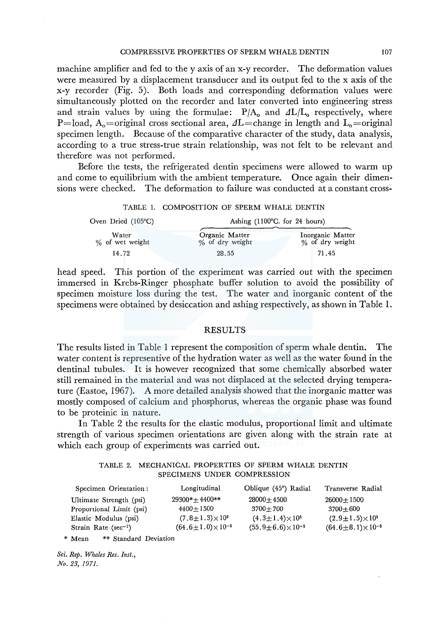machine amplifier and fed to the y axis of an x-y recorder. The deformation values were measured by a displacement transducer and its output fed to the x axis of the x-y recorder (Fig. 5). Both loads and corresponding deformation values were simultaneously plotted on the recorder and later converted into engineering stress and strain values by using the formulae:  $P/A_0$  and  $\Delta L/L_0$  respectively, where P=load, A<sub>0</sub>=original cross sectional area,  $\Delta L$ =change in length and  $L_0$ =original specimen length. Because of the comparative character of the study, data analysis, according to a true stress-true strain relationship, was not felt to be relevant and therefore was not performed.

Before the tests, the refrigerated dentin specimens were allowed to warm up and come to equilibrium with the ambient temperature. Once again their dimensions were checked. The deformation to failure was conducted at a constant cross-

|  | TABLE 1. COMPOSITION OF SPERM WHALE DENTIN |  |  |
|--|--------------------------------------------|--|--|
|--|--------------------------------------------|--|--|

| Oven Dried (105°C)       | Ashing $(1100^{\circ}C,$ for 24 hours) |                                     |  |
|--------------------------|----------------------------------------|-------------------------------------|--|
| Water<br>% of wet weight | Organic Matter<br>% of dry weight      | Inorganic Matter<br>% of dry weight |  |
| 14.72                    | 28.55                                  | 71.45                               |  |

head speed. This portion of the experiment was carried out with the specimen immersed in Krebs-Ringer phosphate buffer solution to avoid the possibility of specimen moisture loss during the test. The water and inorganic content of the specimens were obtained by desiccation and ashing respectively, as shown in Table 1.

#### RESULTS

The results listed in Table 1 represent the composition of sperm whale dentin. The water content is representive of the hydration water as well as the water found in the dentinal tubules. It is however recognized that some chemically absorbed water still remained in the material and was not displaced at the selected drying temperature (Eastoe, 1967). A more detailed analysis showed that the inorganic matter was mostly composed of calcium and phosphorus, whereas the organic phase was found to be proteinic in nature.

In Table 2 the results for the elastic modulus, proportional limit and ultimate strength of various specimen orientations are given along with the strain rate at which each group of experiments was carried out.

# TABLE 2. MECHANICAL PROPERTIES OF SPERM WHALE DENTIN SPECIMENS UNDER COMPRESSION

| Specimen Orientation:     | Longitudinal                    | Oblique (45°) Radial            | Transverse Radial               |
|---------------------------|---------------------------------|---------------------------------|---------------------------------|
| Ultimate Strength (psi)   | 29300*+4400**                   | $28000 + 4500$                  | $26000 + 1500$                  |
| Proportional Limit (psi)  | $4400 + 1500$                   | $3700 + 700$                    | $3700 + 600$                    |
| Elastic Modulus (psi)     | $(7.8 \pm 1.3) \times 10^5$     | $(4.3 \pm 1.4) \times 10^5$     | $(2.9 \pm 1.5) \times 10^5$     |
| Strain Rate $(\sec^{-1})$ | $(64.6 \pm 1.0) \times 10^{-5}$ | $(55.9 \pm 6.6) \times 10^{-5}$ | $(64.6 \pm 8.1) \times 10^{-5}$ |

\* Mean \*\* Standard Deviation

*Sci. Rep. Whales Res. Inst., No. 23, 1971.*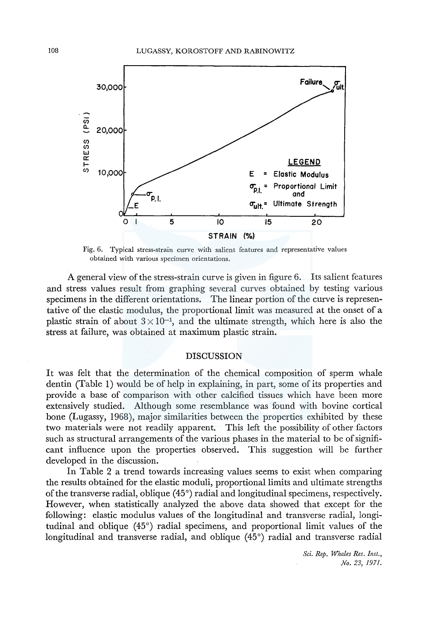

Fig. 6. Typical stress-strain curve with salient features and representative values obtained with various specimen orientations.

A general view of the stress-strain curve is given in figure 6. Its salient features and stress values result from graphing several curves obtained by testing various specimens in the different orientations. The linear portion of the curve is representative of the elastic modulus, the proportional limit was measured at the onset of a plastic strain of about  $3 \times 10^{-1}$ , and the ultimate strength, which here is also the stress at failure, was obtained at maximum plastic strain.

## DISCUSSION

It was felt that the determination of the chemical composition of sperm whale dentin (Table 1) would be of help in explaining, in part, some of its properties and provide a base of comparison with other calcified tissues which have been more extensively studied. Although some resemblance was found with bovine cortical bone (Lugassy, 1968), major similarities between the properties exhibited by these two materials were not readily apparent. This left the possibility of other factors such as structural arrangements of the various phases in the material to be of significant influence upon the properties observed. This suggestion will be further developed in the discussion.

In Table 2 a trend towards increasing values seems to exist when comparing the results obtained for the elastic moduli, proportional limits and ultimate strengths of the transverse radial, oblique (45°) radial and longitudinal specimens, respectively. However, when statistically analyzed the above data showed that except for the following: elastic modulus values of the longitudinal and transverse radial, longitudinal and oblique (45°) radial specimens, and proportional limit values of the longitudinal and transverse radial, and oblique (45°) radial and transverse radial

> *Sci. Rep. Whales Res. Inst., No. 23, 1971.*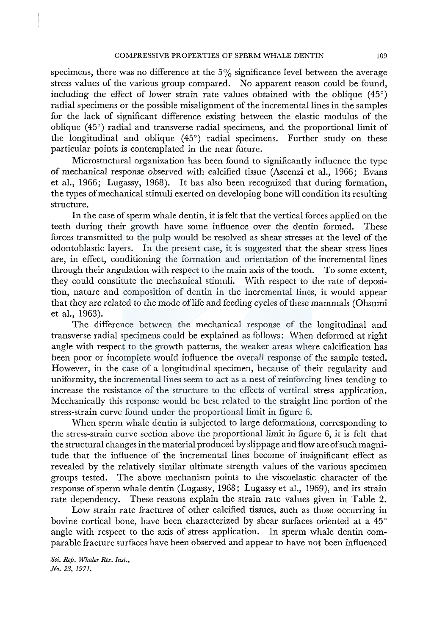specimens, there was no difference at the  $5\%$  significance level between the average stress values of the various group compared. No apparent reason could be found, including the effect of lower strain rate values obtained with the oblique (45°) radial specimens or the possible misalignment of the incremental lines in the samples for the lack of significant difference existing between the elastic modulus of the oblique (45°) radial and transverse radial specimens, and the proportional limit of the longitudinal and oblique (45°) radial specimens. Further study on these particular points is contemplated in the near future.

Microstuctural organization has been found to significantly influence the type of mechanical response observed with calcified tissue (Ascenzi et al., 1966; Evans et al., 1966; Lugassy, 1968). It has also been recognized that during formation, the types of mechanical stimuli exerted on developing bone will condition its resulting structure.

In the case of sperm whale dentin, it is felt that the vertical forces applied on the teeth during their growth have some influence over the dentin formed. These forces transmitted to the pulp would be resolved as shear stresses at the level of the odontoblastic layers. In the present case, it is suggested that the shear stress lines are, in effect, conditioning the formation and orientation of the incremental lines through their angulation with respect to the main axis of the tooth. To some extent, they could constitute the mechanical stimuli. With respect to the rate of deposition, nature and composition of dentin in the incremental lines, it would appear that they are related to the mode oflife and feeding cycles of these mammals (Ohsumi et al., 1963).

The difference between the mechanical response of the longitudinal and transverse radial specimens could be explained as follows: When deformed at right angle with respect to the growth patterns, the weaker areas where calcification has been poor or incomplete would influence the overall response of the sample tested. However, in the case of a longitudinal specimen, because of their regularity and uniformity, the incremental lines seem to act as a nest of reinforcing lines tending to increase the resistance of the structure to the effects of vertical stress application. Mechanically this response would be best related to the straight line portion of the stress-strain curve found under the proportional limit in figure 6.

When sperm whale dentin is subjected to large deformations, corresponding to the stress-strain curve section above the proportional limit in figure 6, it is felt that the structural changes in the material produced by slippage and flow are of such magnitude that the influence of the incremental lines become of insignificant effect as revealed by the relatively similar ultimate strength values of the various specimen groups tested. The above mechanism points to the viscoelastic character of the response of sperm whale dentin (Lugassy, 1968; Lugassy et al., 1969), and its strain rate dependency. These reasons explain the strain rate values given in Table 2.

Low strain rate fractures of other calcified tissues, such as those occurring in bovine cortical bone, have been characterized by shear surfaces oriented at a 45° angle with respect to the axis of stress application. In sperm whale dentin comparable fracture surfaces have been observed and appear to have not been influenced

*Sci. Rep. Whales Res. Inst., .No. 23, 1971.*